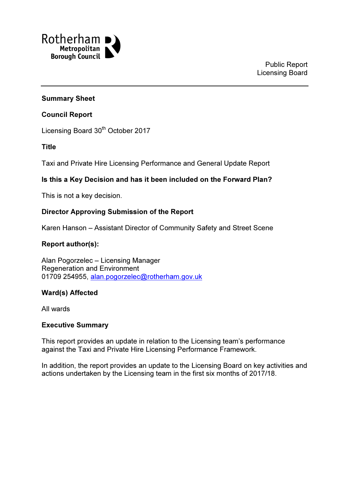

### Summary Sheet

### Council Report

Licensing Board 30<sup>th</sup> October 2017

### Title

Taxi and Private Hire Licensing Performance and General Update Report

## Is this a Key Decision and has it been included on the Forward Plan?

This is not a key decision.

### Director Approving Submission of the Report

Karen Hanson – Assistant Director of Community Safety and Street Scene

# Report author(s):

Alan Pogorzelec – Licensing Manager Regeneration and Environment 01709 254955, alan.pogorzelec@rotherham.gov.uk

## Ward(s) Affected

All wards

### Executive Summary

This report provides an update in relation to the Licensing team's performance against the Taxi and Private Hire Licensing Performance Framework.

In addition, the report provides an update to the Licensing Board on key activities and actions undertaken by the Licensing team in the first six months of 2017/18.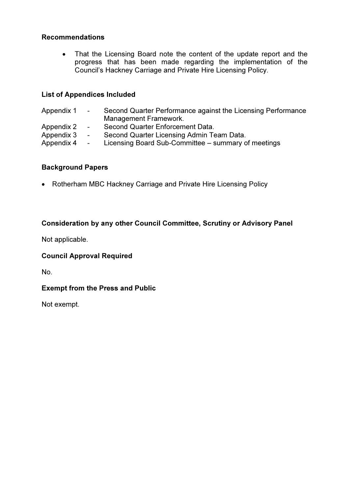### Recommendations

• That the Licensing Board note the content of the update report and the progress that has been made regarding the implementation of the Council's Hackney Carriage and Private Hire Licensing Policy.

### List of Appendices Included

| Appendix 1               | $\sim$ 100 $\mu$                             | Second Quarter Performance against the Licensing Performance<br>Management Framework.            |
|--------------------------|----------------------------------------------|--------------------------------------------------------------------------------------------------|
| Appendix 2               | $\sim$ $-$                                   | Second Quarter Enforcement Data.                                                                 |
| Appendix 3<br>Appendix 4 | $\overline{\phantom{0}}$<br>$\sim$ 100 $\mu$ | Second Quarter Licensing Admin Team Data.<br>Licensing Board Sub-Committee – summary of meetings |

### Background Papers

• Rotherham MBC Hackney Carriage and Private Hire Licensing Policy

## Consideration by any other Council Committee, Scrutiny or Advisory Panel

Not applicable.

### Council Approval Required

No.

## Exempt from the Press and Public

Not exempt.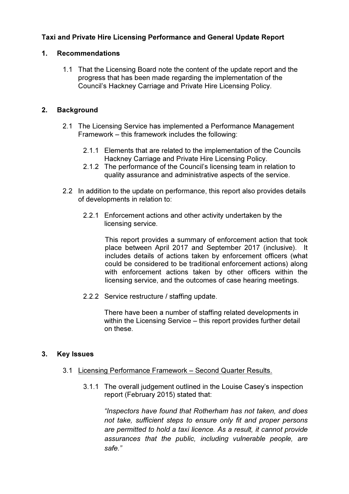# Taxi and Private Hire Licensing Performance and General Update Report

### 1. Recommendations

1.1 That the Licensing Board note the content of the update report and the progress that has been made regarding the implementation of the Council's Hackney Carriage and Private Hire Licensing Policy.

### 2. Background

- 2.1 The Licensing Service has implemented a Performance Management Framework – this framework includes the following:
	- 2.1.1 Elements that are related to the implementation of the Councils Hackney Carriage and Private Hire Licensing Policy.
	- 2.1.2 The performance of the Council's licensing team in relation to quality assurance and administrative aspects of the service.
- 2.2 In addition to the update on performance, this report also provides details of developments in relation to:
	- 2.2.1 Enforcement actions and other activity undertaken by the licensing service.

This report provides a summary of enforcement action that took place between April 2017 and September 2017 (inclusive). It includes details of actions taken by enforcement officers (what could be considered to be traditional enforcement actions) along with enforcement actions taken by other officers within the licensing service, and the outcomes of case hearing meetings.

2.2.2 Service restructure / staffing update.

There have been a number of staffing related developments in within the Licensing Service – this report provides further detail on these.

### 3. Key Issues

- 3.1 Licensing Performance Framework Second Quarter Results.
	- 3.1.1 The overall judgement outlined in the Louise Casey's inspection report (February 2015) stated that:

"Inspectors have found that Rotherham has not taken, and does not take, sufficient steps to ensure only fit and proper persons are permitted to hold a taxi licence. As a result, it cannot provide assurances that the public, including vulnerable people, are safe."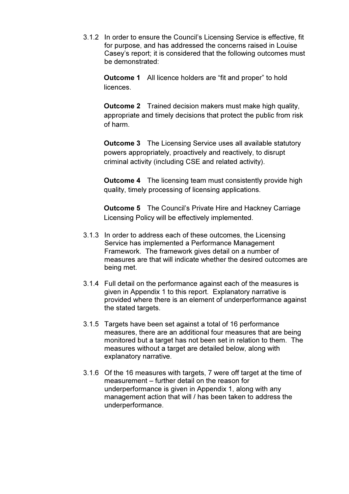3.1.2 In order to ensure the Council's Licensing Service is effective, fit for purpose, and has addressed the concerns raised in Louise Casey's report; it is considered that the following outcomes must be demonstrated:

Outcome 1 All licence holders are "fit and proper" to hold licences.

**Outcome 2** Trained decision makers must make high quality, appropriate and timely decisions that protect the public from risk of harm.

Outcome 3 The Licensing Service uses all available statutory powers appropriately, proactively and reactively, to disrupt criminal activity (including CSE and related activity).

**Outcome 4** The licensing team must consistently provide high quality, timely processing of licensing applications.

Outcome 5 The Council's Private Hire and Hackney Carriage Licensing Policy will be effectively implemented.

- 3.1.3 In order to address each of these outcomes, the Licensing Service has implemented a Performance Management Framework. The framework gives detail on a number of measures are that will indicate whether the desired outcomes are being met.
- 3.1.4 Full detail on the performance against each of the measures is given in Appendix 1 to this report. Explanatory narrative is provided where there is an element of underperformance against the stated targets.
- 3.1.5 Targets have been set against a total of 16 performance measures, there are an additional four measures that are being monitored but a target has not been set in relation to them. The measures without a target are detailed below, along with explanatory narrative.
- 3.1.6 Of the 16 measures with targets, 7 were off target at the time of measurement – further detail on the reason for underperformance is given in Appendix 1, along with any management action that will / has been taken to address the underperformance.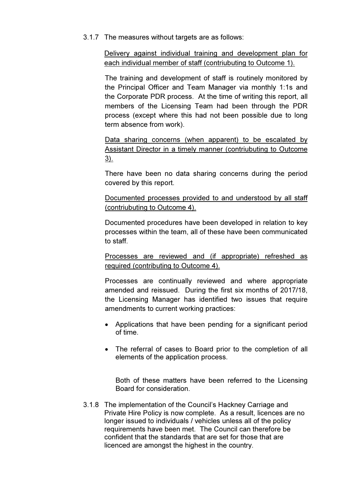3.1.7 The measures without targets are as follows:

Delivery against individual training and development plan for each individual member of staff (contriubuting to Outcome 1).

The training and development of staff is routinely monitored by the Principal Officer and Team Manager via monthly 1:1s and the Corporate PDR process. At the time of writing this report, all members of the Licensing Team had been through the PDR process (except where this had not been possible due to long term absence from work).

Data sharing concerns (when apparent) to be escalated by Assistant Director in a timely manner (contriubuting to Outcome 3).

There have been no data sharing concerns during the period covered by this report.

Documented processes provided to and understood by all staff (contriubuting to Outcome 4).

Documented procedures have been developed in relation to key processes within the team, all of these have been communicated to staff.

Processes are reviewed and (if appropriate) refreshed as required (contributing to Outcome 4).

Processes are continually reviewed and where appropriate amended and reissued. During the first six months of 2017/18, the Licensing Manager has identified two issues that require amendments to current working practices:

- Applications that have been pending for a significant period of time.
- The referral of cases to Board prior to the completion of all elements of the application process.

Both of these matters have been referred to the Licensing Board for consideration.

3.1.8 The implementation of the Council's Hackney Carriage and Private Hire Policy is now complete. As a result, licences are no longer issued to individuals / vehicles unless all of the policy requirements have been met. The Council can therefore be confident that the standards that are set for those that are licenced are amongst the highest in the country.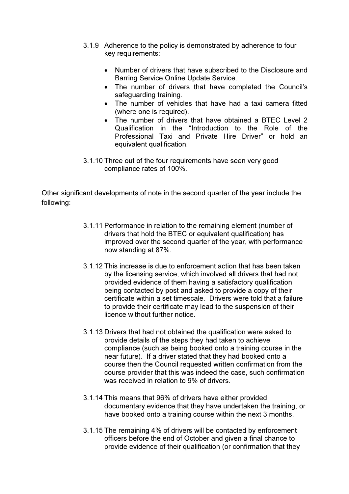- 3.1.9 Adherence to the policy is demonstrated by adherence to four key requirements:
	- Number of drivers that have subscribed to the Disclosure and Barring Service Online Update Service.
	- The number of drivers that have completed the Council's safeguarding training.
	- The number of vehicles that have had a taxi camera fitted (where one is required).
	- The number of drivers that have obtained a BTFC Level 2 Qualification in the "Introduction to the Role of the Professional Taxi and Private Hire Driver" or hold an equivalent qualification.
- 3.1.10 Three out of the four requirements have seen very good compliance rates of 100%.

Other significant developments of note in the second quarter of the year include the following:

- 3.1.11 Performance in relation to the remaining element (number of drivers that hold the BTEC or equivalent qualification) has improved over the second quarter of the year, with performance now standing at 87%.
- 3.1.12 This increase is due to enforcement action that has been taken by the licensing service, which involved all drivers that had not provided evidence of them having a satisfactory qualification being contacted by post and asked to provide a copy of their certificate within a set timescale. Drivers were told that a failure to provide their certificate may lead to the suspension of their licence without further notice.
- 3.1.13 Drivers that had not obtained the qualification were asked to provide details of the steps they had taken to achieve compliance (such as being booked onto a training course in the near future). If a driver stated that they had booked onto a course then the Council requested written confirmation from the course provider that this was indeed the case, such confirmation was received in relation to 9% of drivers.
- 3.1.14 This means that 96% of drivers have either provided documentary evidence that they have undertaken the training, or have booked onto a training course within the next 3 months.
- 3.1.15 The remaining 4% of drivers will be contacted by enforcement officers before the end of October and given a final chance to provide evidence of their qualification (or confirmation that they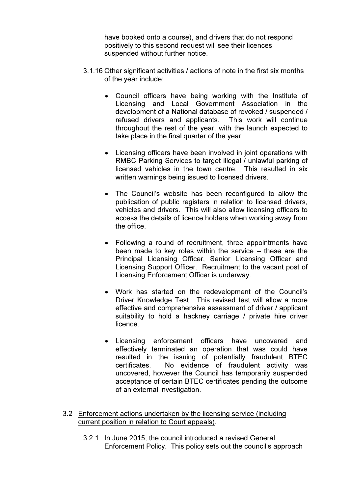have booked onto a course), and drivers that do not respond positively to this second request will see their licences suspended without further notice.

- 3.1.16 Other significant activities / actions of note in the first six months of the year include:
	- Council officers have being working with the Institute of Licensing and Local Government Association in the development of a National database of revoked / suspended / refused drivers and applicants. This work will continue throughout the rest of the year, with the launch expected to take place in the final quarter of the year.
	- Licensing officers have been involved in joint operations with RMBC Parking Services to target illegal / unlawful parking of licensed vehicles in the town centre. This resulted in six written warnings being issued to licensed drivers.
	- The Council's website has been reconfigured to allow the publication of public registers in relation to licensed drivers, vehicles and drivers. This will also allow licensing officers to access the details of licence holders when working away from the office.
	- Following a round of recruitment, three appointments have been made to key roles within the service – these are the Principal Licensing Officer, Senior Licensing Officer and Licensing Support Officer. Recruitment to the vacant post of Licensing Enforcement Officer is underway.
	- Work has started on the redevelopment of the Council's Driver Knowledge Test. This revised test will allow a more effective and comprehensive assessment of driver / applicant suitability to hold a hackney carriage / private hire driver licence.
	- Licensing enforcement officers have uncovered and effectively terminated an operation that was could have resulted in the issuing of potentially fraudulent BTEC certificates. No evidence of fraudulent activity was uncovered, however the Council has temporarily suspended acceptance of certain BTEC certificates pending the outcome of an external investigation.
- 3.2 Enforcement actions undertaken by the licensing service (including current position in relation to Court appeals).
	- 3.2.1 In June 2015, the council introduced a revised General Enforcement Policy. This policy sets out the council's approach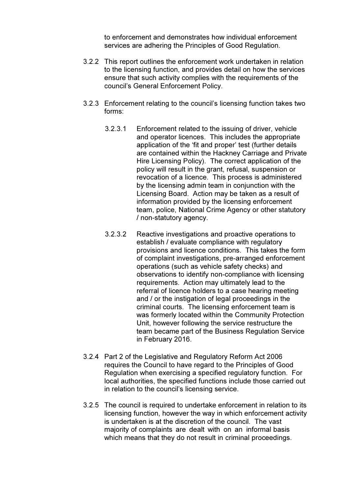to enforcement and demonstrates how individual enforcement services are adhering the Principles of Good Regulation.

- 3.2.2 This report outlines the enforcement work undertaken in relation to the licensing function, and provides detail on how the services ensure that such activity complies with the requirements of the council's General Enforcement Policy.
- 3.2.3 Enforcement relating to the council's licensing function takes two forms:
	- 3.2.3.1 Enforcement related to the issuing of driver, vehicle and operator licences. This includes the appropriate application of the 'fit and proper' test (further details are contained within the Hackney Carriage and Private Hire Licensing Policy). The correct application of the policy will result in the grant, refusal, suspension or revocation of a licence. This process is administered by the licensing admin team in conjunction with the Licensing Board. Action may be taken as a result of information provided by the licensing enforcement team, police, National Crime Agency or other statutory / non-statutory agency.
	- 3.2.3.2 Reactive investigations and proactive operations to establish / evaluate compliance with regulatory provisions and licence conditions. This takes the form of complaint investigations, pre-arranged enforcement operations (such as vehicle safety checks) and observations to identify non-compliance with licensing requirements. Action may ultimately lead to the referral of licence holders to a case hearing meeting and / or the instigation of legal proceedings in the criminal courts. The licensing enforcement team is was formerly located within the Community Protection Unit, however following the service restructure the team became part of the Business Regulation Service in February 2016.
- 3.2.4 Part 2 of the Legislative and Regulatory Reform Act 2006 requires the Council to have regard to the Principles of Good Regulation when exercising a specified regulatory function. For local authorities, the specified functions include those carried out in relation to the council's licensing service.
- 3.2.5 The council is required to undertake enforcement in relation to its licensing function, however the way in which enforcement activity is undertaken is at the discretion of the council. The vast majority of complaints are dealt with on an informal basis which means that they do not result in criminal proceedings.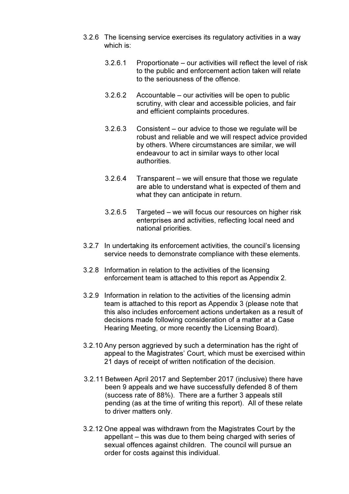- 3.2.6 The licensing service exercises its regulatory activities in a way which is:
	- 3.2.6.1 Proportionate our activities will reflect the level of risk to the public and enforcement action taken will relate to the seriousness of the offence.
	- 3.2.6.2 Accountable our activities will be open to public scrutiny, with clear and accessible policies, and fair and efficient complaints procedures.
	- 3.2.6.3 Consistent our advice to those we regulate will be robust and reliable and we will respect advice provided by others. Where circumstances are similar, we will endeavour to act in similar ways to other local authorities.
	- 3.2.6.4 Transparent we will ensure that those we regulate are able to understand what is expected of them and what they can anticipate in return.
	- 3.2.6.5 Targeted we will focus our resources on higher risk enterprises and activities, reflecting local need and national priorities.
- 3.2.7 In undertaking its enforcement activities, the council's licensing service needs to demonstrate compliance with these elements.
- 3.2.8 Information in relation to the activities of the licensing enforcement team is attached to this report as Appendix 2.
- 3.2.9 Information in relation to the activities of the licensing admin team is attached to this report as Appendix 3 (please note that this also includes enforcement actions undertaken as a result of decisions made following consideration of a matter at a Case Hearing Meeting, or more recently the Licensing Board).
- 3.2.10 Any person aggrieved by such a determination has the right of appeal to the Magistrates' Court, which must be exercised within 21 days of receipt of written notification of the decision.
- 3.2.11 Between April 2017 and September 2017 (inclusive) there have been 9 appeals and we have successfully defended 8 of them (success rate of 88%). There are a further 3 appeals still pending (as at the time of writing this report). All of these relate to driver matters only.
- 3.2.12 One appeal was withdrawn from the Magistrates Court by the appellant – this was due to them being charged with series of sexual offences against children. The council will pursue an order for costs against this individual.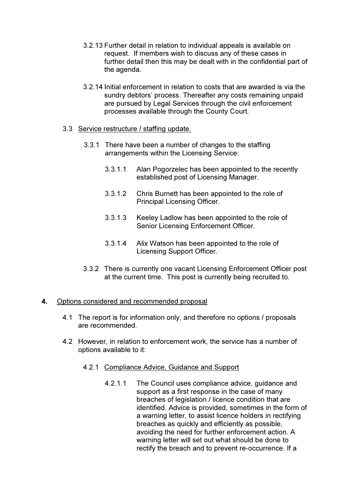- 3.2.13 Further detail in relation to individual appeals is available on request. If members wish to discuss any of these cases in further detail then this may be dealt with in the confidential part of the agenda.
- 3.2.14 Initial enforcement in relation to costs that are awarded is via the sundry debtors' process. Thereafter any costs remaining unpaid are pursued by Legal Services through the civil enforcement processes available through the County Court.

### 3.3 Service restructure / staffing update.

- 3.3.1 There have been a number of changes to the staffing arrangements within the Licensing Service:
	- 3.3.1.1 Alan Pogorzelec has been appointed to the recently established post of Licensing Manager.
	- 3.3.1.2 Chris Burnett has been appointed to the role of Principal Licensing Officer.
	- 3.3.1.3 Keeley Ladlow has been appointed to the role of Senior Licensing Enforcement Officer.
	- 3.3.1.4 Alix Watson has been appointed to the role of Licensing Support Officer.
- 3.3.2 There is currently one vacant Licensing Enforcement Officer post at the current time. This post is currently being recruited to.

### 4. Options considered and recommended proposal

- 4.1 The report is for information only, and therefore no options / proposals are recommended.
- 4.2 However, in relation to enforcement work, the service has a number of options available to it:
	- 4.2.1 Compliance Advice, Guidance and Support
		- 4.2.1.1 The Council uses compliance advice, guidance and support as a first response in the case of many breaches of legislation / licence condition that are identified. Advice is provided, sometimes in the form of a warning letter, to assist licence holders in rectifying breaches as quickly and efficiently as possible, avoiding the need for further enforcement action. A warning letter will set out what should be done to rectify the breach and to prevent re-occurrence. If a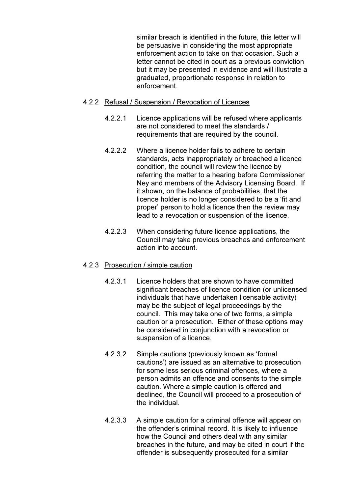similar breach is identified in the future, this letter will be persuasive in considering the most appropriate enforcement action to take on that occasion. Such a letter cannot be cited in court as a previous conviction but it may be presented in evidence and will illustrate a graduated, proportionate response in relation to enforcement.

### 4.2.2 Refusal / Suspension / Revocation of Licences

- 4.2.2.1 Licence applications will be refused where applicants are not considered to meet the standards / requirements that are required by the council.
- 4.2.2.2 Where a licence holder fails to adhere to certain standards, acts inappropriately or breached a licence condition, the council will review the licence by referring the matter to a hearing before Commissioner Ney and members of the Advisory Licensing Board. If it shown, on the balance of probabilities, that the licence holder is no longer considered to be a 'fit and proper' person to hold a licence then the review may lead to a revocation or suspension of the licence.
- 4.2.2.3 When considering future licence applications, the Council may take previous breaches and enforcement action into account.

### 4.2.3 Prosecution / simple caution

- 4.2.3.1 Licence holders that are shown to have committed significant breaches of licence condition (or unlicensed individuals that have undertaken licensable activity) may be the subject of legal proceedings by the council. This may take one of two forms, a simple caution or a prosecution. Either of these options may be considered in conjunction with a revocation or suspension of a licence.
- 4.2.3.2 Simple cautions (previously known as 'formal cautions') are issued as an alternative to prosecution for some less serious criminal offences, where a person admits an offence and consents to the simple caution. Where a simple caution is offered and declined, the Council will proceed to a prosecution of the individual.
- 4.2.3.3 A simple caution for a criminal offence will appear on the offender's criminal record. It is likely to influence how the Council and others deal with any similar breaches in the future, and may be cited in court if the offender is subsequently prosecuted for a similar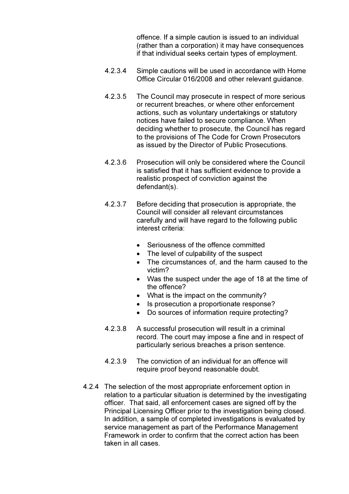offence. If a simple caution is issued to an individual (rather than a corporation) it may have consequences if that individual seeks certain types of employment.

- 4.2.3.4 Simple cautions will be used in accordance with Home Office Circular 016/2008 and other relevant guidance.
- 4.2.3.5 The Council may prosecute in respect of more serious or recurrent breaches, or where other enforcement actions, such as voluntary undertakings or statutory notices have failed to secure compliance. When deciding whether to prosecute, the Council has regard to the provisions of The Code for Crown Prosecutors as issued by the Director of Public Prosecutions.
- 4.2.3.6 Prosecution will only be considered where the Council is satisfied that it has sufficient evidence to provide a realistic prospect of conviction against the defendant(s).
- 4.2.3.7 Before deciding that prosecution is appropriate, the Council will consider all relevant circumstances carefully and will have regard to the following public interest criteria:
	- Seriousness of the offence committed
	- The level of culpability of the suspect
	- The circumstances of, and the harm caused to the victim?
	- Was the suspect under the age of 18 at the time of the offence?
	- What is the impact on the community?
	- Is prosecution a proportionate response?
	- Do sources of information require protecting?
- 4.2.3.8 A successful prosecution will result in a criminal record. The court may impose a fine and in respect of particularly serious breaches a prison sentence.
- 4.2.3.9 The conviction of an individual for an offence will require proof beyond reasonable doubt.
- 4.2.4 The selection of the most appropriate enforcement option in relation to a particular situation is determined by the investigating officer. That said, all enforcement cases are signed off by the Principal Licensing Officer prior to the investigation being closed. In addition, a sample of completed investigations is evaluated by service management as part of the Performance Management Framework in order to confirm that the correct action has been taken in all cases.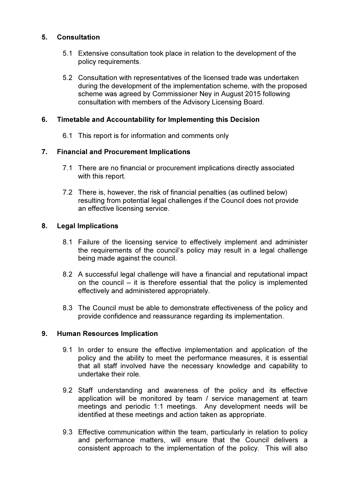### 5. Consultation

- 5.1 Extensive consultation took place in relation to the development of the policy requirements.
- 5.2 Consultation with representatives of the licensed trade was undertaken during the development of the implementation scheme, with the proposed scheme was agreed by Commissioner Ney in August 2015 following consultation with members of the Advisory Licensing Board.

### 6. Timetable and Accountability for Implementing this Decision

6.1 This report is for information and comments only

### 7. Financial and Procurement Implications

- 7.1 There are no financial or procurement implications directly associated with this report.
- 7.2 There is, however, the risk of financial penalties (as outlined below) resulting from potential legal challenges if the Council does not provide an effective licensing service.

### 8. Legal Implications

- 8.1 Failure of the licensing service to effectively implement and administer the requirements of the council's policy may result in a legal challenge being made against the council.
- 8.2 A successful legal challenge will have a financial and reputational impact on the council – it is therefore essential that the policy is implemented effectively and administered appropriately.
- 8.3 The Council must be able to demonstrate effectiveness of the policy and provide confidence and reassurance regarding its implementation.

### 9. Human Resources Implication

- 9.1 In order to ensure the effective implementation and application of the policy and the ability to meet the performance measures, it is essential that all staff involved have the necessary knowledge and capability to undertake their role.
- 9.2 Staff understanding and awareness of the policy and its effective application will be monitored by team / service management at team meetings and periodic 1:1 meetings. Any development needs will be identified at these meetings and action taken as appropriate.
- 9.3 Effective communication within the team, particularly in relation to policy and performance matters, will ensure that the Council delivers a consistent approach to the implementation of the policy. This will also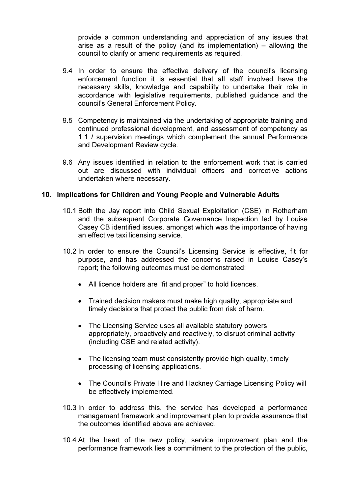provide a common understanding and appreciation of any issues that arise as a result of the policy (and its implementation) – allowing the council to clarify or amend requirements as required.

- 9.4 In order to ensure the effective delivery of the council's licensing enforcement function it is essential that all staff involved have the necessary skills, knowledge and capability to undertake their role in accordance with legislative requirements, published guidance and the council's General Enforcement Policy.
- 9.5 Competency is maintained via the undertaking of appropriate training and continued professional development, and assessment of competency as 1:1 / supervision meetings which complement the annual Performance and Development Review cycle.
- 9.6 Any issues identified in relation to the enforcement work that is carried out are discussed with individual officers and corrective actions undertaken where necessary.

#### 10. Implications for Children and Young People and Vulnerable Adults

- 10.1 Both the Jay report into Child Sexual Exploitation (CSE) in Rotherham and the subsequent Corporate Governance Inspection led by Louise Casey CB identified issues, amongst which was the importance of having an effective taxi licensing service.
- 10.2 In order to ensure the Council's Licensing Service is effective, fit for purpose, and has addressed the concerns raised in Louise Casey's report; the following outcomes must be demonstrated:
	- All licence holders are "fit and proper" to hold licences.
	- Trained decision makers must make high quality, appropriate and timely decisions that protect the public from risk of harm.
	- The Licensing Service uses all available statutory powers appropriately, proactively and reactively, to disrupt criminal activity (including CSE and related activity).
	- The licensing team must consistently provide high quality, timely processing of licensing applications.
	- The Council's Private Hire and Hackney Carriage Licensing Policy will be effectively implemented.
- 10.3 In order to address this, the service has developed a performance management framework and improvement plan to provide assurance that the outcomes identified above are achieved.
- 10.4 At the heart of the new policy, service improvement plan and the performance framework lies a commitment to the protection of the public,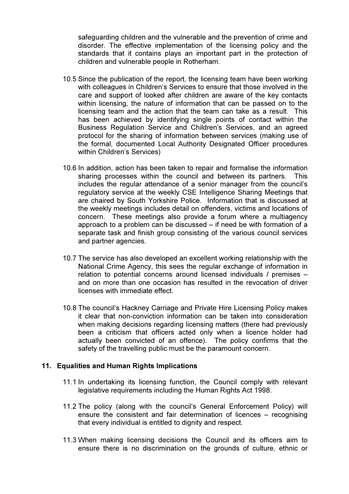safeguarding children and the vulnerable and the prevention of crime and disorder. The effective implementation of the licensing policy and the standards that it contains plays an important part in the protection of children and vulnerable people in Rotherham.

- 10.5 Since the publication of the report, the licensing team have been working with colleagues in Children's Services to ensure that those involved in the care and support of looked after children are aware of the key contacts within licensing, the nature of information that can be passed on to the licensing team and the action that the team can take as a result. This has been achieved by identifying single points of contact within the Business Regulation Service and Children's Services, and an agreed protocol for the sharing of information between services (making use of the formal, documented Local Authority Designated Officer procedures within Children's Services)
- 10.6 In addition, action has been taken to repair and formalise the information sharing processes within the council and between its partners. This includes the regular attendance of a senior manager from the council's regulatory service at the weekly CSE Intelligence Sharing Meetings that are chaired by South Yorkshire Police. Information that is discussed at the weekly meetings includes detail on offenders, victims and locations of concern. These meetings also provide a forum where a multiagency approach to a problem can be discussed – if need be with formation of a separate task and finish group consisting of the various council services and partner agencies.
- 10.7 The service has also developed an excellent working relationship with the National Crime Agency, this sees the regular exchange of information in relation to potential concerns around licensed individuals / premises – and on more than one occasion has resulted in the revocation of driver licenses with immediate effect.
- 10.8 The council's Hackney Carriage and Private Hire Licensing Policy makes it clear that non-conviction information can be taken into consideration when making decisions regarding licensing matters (there had previously been a criticism that officers acted only when a licence holder had actually been convicted of an offence). The policy confirms that the safety of the travelling public must be the paramount concern.

#### 11. Equalities and Human Rights Implications

- 11.1 In undertaking its licensing function, the Council comply with relevant legislative requirements including the Human Rights Act 1998.
- 11.2 The policy (along with the council's General Enforcement Policy) will ensure the consistent and fair determination of licences – recognising that every individual is entitled to dignity and respect.
- 11.3 When making licensing decisions the Council and its officers aim to ensure there is no discrimination on the grounds of culture, ethnic or